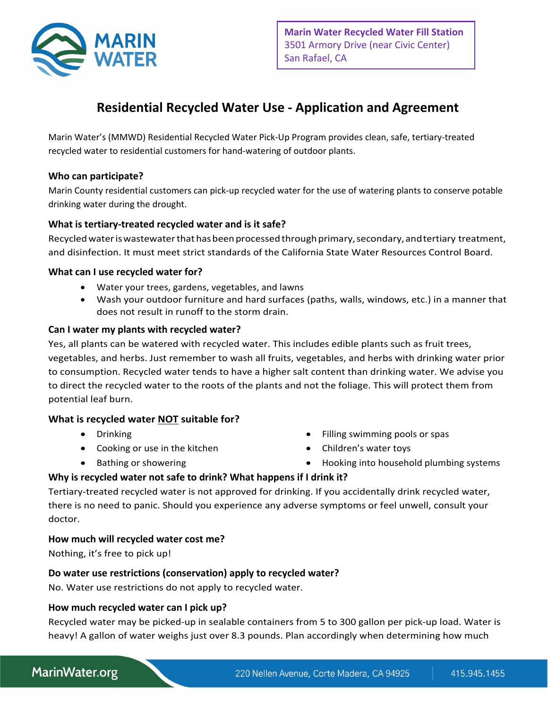

# **Residential Recycled Water Use - Application and Agreement**

Marin Water's (MMWD) Residential Recycled Water Pick‐Up Program provides clean, safe, tertiary‐treated recycled water to residential customers for hand‐watering of outdoor plants.

#### **Who can participate?**

Marin County residential customers can pick‐up recycled water for the use of watering plants to conserve potable drinking water during the drought.

#### **What is tertiary-treated recycled water and is it safe?**

Recycled water is wastewater that has been processed through primary, secondary, and tertiary treatment, and disinfection. It must meet strict standards of the California State Water Resources Control Board.

#### **What can I use recycled water for?**

- Water your trees, gardens, vegetables, and lawns
- Wash your outdoor furniture and hard surfaces (paths, walls, windows, etc.) in a manner that does not result in runoff to the storm drain.

#### **Can I water my plants with recycled water?**

Yes, all plants can be watered with recycled water. This includes edible plants such as fruit trees, vegetables, and herbs. Just remember to wash all fruits, vegetables, and herbs with drinking water prior to consumption. Recycled water tends to have a higher salt content than drinking water. We advise you to direct the recycled water to the roots of the plants and not the foliage. This will protect them from potential leaf burn.

#### **What is recycled water NOT suitable for?**

- Drinking
- Cooking or use in the kitchen
- Bathing or showering
- Filling swimming pools or spas
- Children's water toys
- Hooking into household plumbing systems

#### **Why is recycled water not safe to drink? What happens if I drink it?**

Tertiary-treated recycled water is not approved for drinking. If you accidentally drink recycled water, there is no need to panic. Should you experience any adverse symptoms or feel unwell, consult your doctor.

#### **How much will recycled water cost me?**

Nothing, it's free to pick up!

#### **Do water use restrictions (conservation) apply to recycled water?**

No. Water use restrictions do not apply to recycled water.

#### **How much recycled water can I pick up?**

Recycled water may be picked-up in sealable containers from 5 to 300 gallon per pick-up load. Water is heavy! A gallon of water weighs just over 8.3 pounds. Plan accordingly when determining how much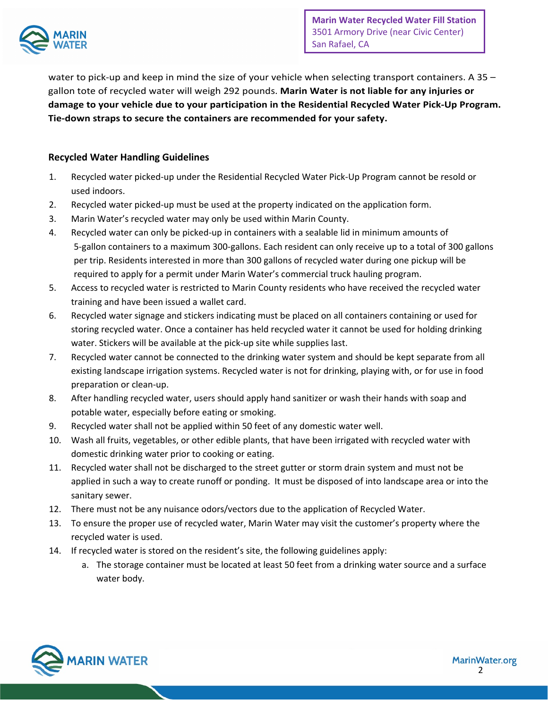

water to pick-up and keep in mind the size of your vehicle when selecting transport containers. A 35 – gallon tote of recycled water will weigh 292 pounds. **Marin Water is not liable for any injuries or damage to your vehicle due to your participation in the Residential Recycled Water Pick-Up Program. Tie-down straps to secure the containers are recommended for your safety.** 

### **Recycled Water Handling Guidelines**

- 1. Recycled water picked-up under the Residential Recycled Water Pick-Up Program cannot be resold or used indoors.
- 2. Recycled water picked-up must be used at the property indicated on the application form.
- 3. Marin Water's recycled water may only be used within Marin County.
- 4. Recycled water can only be picked-up in containers with a sealable lid in minimum amounts of 5-gallon containers to a maximum 300-gallons. Each resident can only receive up to a total of 300 gallons per trip. Residents interested in more than 300 gallons of recycled water during one pickup will be required to apply for a permit under Marin Water's commercial truck hauling program.
- 5. Access to recycled water is restricted to Marin County residents who have received the recycled water training and have been issued a wallet card.
- 6. Recycled water signage and stickers indicating must be placed on all containers containing or used for storing recycled water. Once a container has held recycled water it cannot be used for holding drinking water. Stickers will be available at the pick-up site while supplies last.
- 7. Recycled water cannot be connected to the drinking water system and should be kept separate from all existing landscape irrigation systems. Recycled water is not for drinking, playing with, or for use in food preparation or clean-up.
- 8. After handling recycled water, users should apply hand sanitizer or wash their hands with soap and potable water, especially before eating or smoking.
- 9. Recycled water shall not be applied within 50 feet of any domestic water well.
- 10. Wash all fruits, vegetables, or other edible plants, that have been irrigated with recycled water with domestic drinking water prior to cooking or eating.
- 11. Recycled water shall not be discharged to the street gutter or storm drain system and must not be applied in such a way to create runoff or ponding. It must be disposed of into landscape area or into the sanitary sewer.
- 12. There must not be any nuisance odors/vectors due to the application of Recycled Water.
- 13. To ensure the proper use of recycled water, Marin Water may visit the customer's property where the recycled water is used.
- 14. If recycled water is stored on the resident's site, the following guidelines apply:
	- a. The storage container must be located at least 50 feet from a drinking water source and a surface water body.

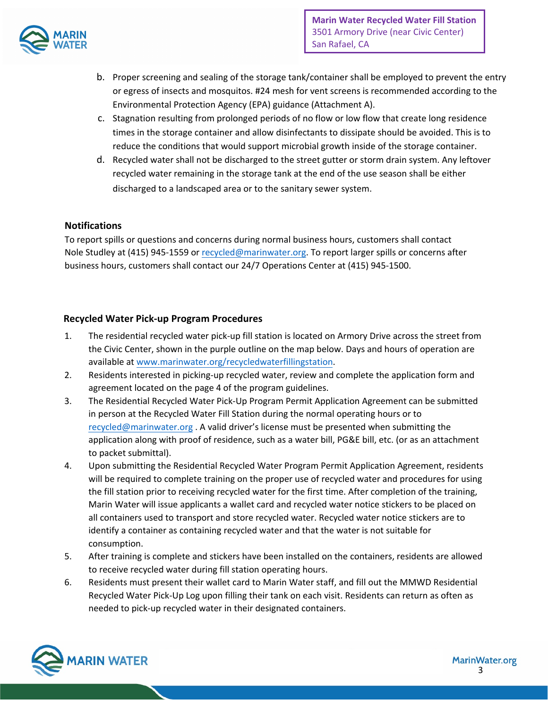

- b. Proper screening and sealing of the storage tank/container shall be employed to prevent the entry or egress of insects and mosquitos. #24 mesh for vent screens is recommended according to the Environmental Protection Agency (EPA) guidance (Attachment A).
- c. Stagnation resulting from prolonged periods of no flow or low flow that create long residence times in the storage container and allow disinfectants to dissipate should be avoided. This is to reduce the conditions that would support microbial growth inside of the storage container.
- d. Recycled water shall not be discharged to the street gutter or storm drain system. Any leftover recycled water remaining in the storage tank at the end of the use season shall be either discharged to a landscaped area or to the sanitary sewer system.

#### **Notifications**

To report spills or questions and concerns during normal business hours, customers shall contact Nole Studley at (415) 945-1559 [or recycled@marinwater.o](mailto:recycled@marinwater.org)rg. To report larger spills or concerns after business hours, customers shall contact our 24/7 Operations Center at (415) 945-1500.

#### **Recycled Water Pick-up Program Procedures**

- 1. The residential recycled water pick-up fill station is located on Armory Drive across the street from the Civic Center, shown in the purple outline on the map below. Days and hours of operation are available at [www.marinwater.org/recycledwaterfillingstation.](http://www.marinwater.org/recycledwaterfillingstation)
- 2. Residents interested in picking-up recycled water, review and complete the application form and agreement located on the page 4 of the program guidelines.
- 3. The Residential Recycled Water Pick-Up Program Permit Application Agreement can be submitted in person at the Recycled Water Fill Station during the normal operating hours or to [recycled@marinwater.org](mailto:recycled@marinwater.org) . A valid driver's license must be presented when submitting the application along with proof of residence, such as a water bill, PG&E bill, etc. (or as an attachment to packet submittal).
- 4. Upon submitting the Residential Recycled Water Program Permit Application Agreement, residents will be required to complete training on the proper use of recycled water and procedures for using the fill station prior to receiving recycled water for the first time. After completion of the training, Marin Water will issue applicants a wallet card and recycled water notice stickers to be placed on all containers used to transport and store recycled water. Recycled water notice stickers are to identify a container as containing recycled water and that the water is not suitable for consumption.
- 5. After training is complete and stickers have been installed on the containers, residents are allowed to receive recycled water during fill station operating hours.
- 6. Residents must present their wallet card to Marin Water staff, and fill out the MMWD Residential Recycled Water Pick-Up Log upon filling their tank on each visit. Residents can return as often as needed to pick-up recycled water in their designated containers.

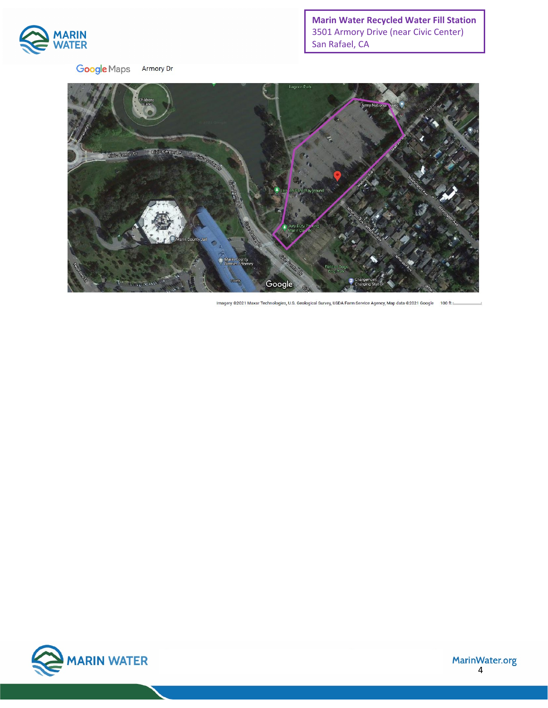

**Google** Maps Armory Dr **Marin Water Recycled Water Fill Station** 3501 Armory Drive (near Civic Center) San Rafael, CA



Imagery @2021 Maxar Technologies, U.S. Geological Survey, USDA Farm Service Agency, Map data @2021 Google 100 ft



MarinWater.org<br>4